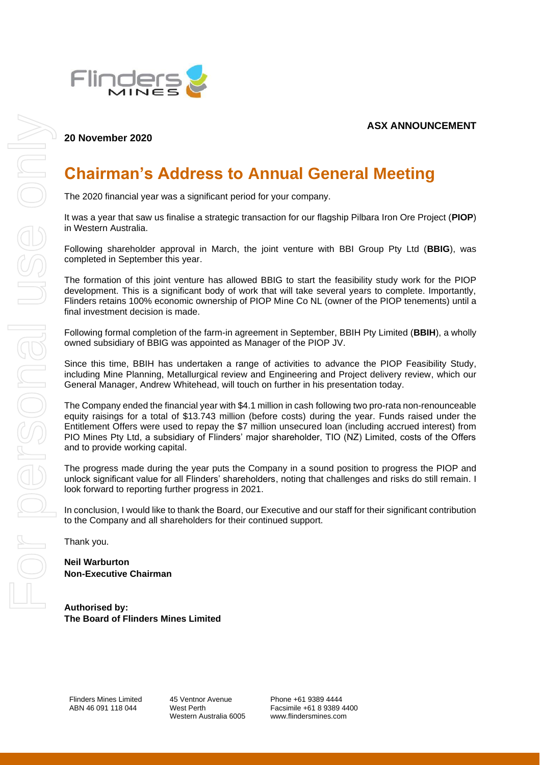**ASX ANNOUNCEMENT**



## **20 November 2020**

## **Chairman's Address to Annual General Meeting**

The 2020 financial year was a significant period for your company.

It was a year that saw us finalise a strategic transaction for our flagship Pilbara Iron Ore Project (**PIOP**) in Western Australia.

Following shareholder approval in March, the joint venture with BBI Group Pty Ltd (**BBIG**), was completed in September this year.

The formation of this joint venture has allowed BBIG to start the feasibility study work for the PIOP development. This is a significant body of work that will take several years to complete. Importantly, Flinders retains 100% economic ownership of PIOP Mine Co NL (owner of the PIOP tenements) until a final investment decision is made.

Following formal completion of the farm-in agreement in September, BBIH Pty Limited (**BBIH**), a wholly owned subsidiary of BBIG was appointed as Manager of the PIOP JV.

Since this time, BBIH has undertaken a range of activities to advance the PIOP Feasibility Study, including Mine Planning, Metallurgical review and Engineering and Project delivery review, which our General Manager, Andrew Whitehead, will touch on further in his presentation today.

The Company ended the financial year with \$4.1 million in cash following two pro-rata non-renounceable equity raisings for a total of \$13.743 million (before costs) during the year. Funds raised under the Entitlement Offers were used to repay the \$7 million unsecured loan (including accrued interest) from PIO Mines Pty Ltd, a subsidiary of Flinders' major shareholder, TIO (NZ) Limited, costs of the Offers and to provide working capital.

The progress made during the year puts the Company in a sound position to progress the PIOP and unlock significant value for all Flinders' shareholders, noting that challenges and risks do still remain. I look forward to reporting further progress in 2021.

In conclusion, I would like to thank the Board, our Executive and our staff for their significant contribution to the Company and all shareholders for their continued support.

Thank you.

**Neil Warburton Non-Executive Chairman**

**Authorised by: The Board of Flinders Mines Limited**

Flinders Mines Limited ABN 46 091 118 044

45 Ventnor Avenue West Perth Western Australia 6005 Phone +61 9389 4444 Facsimile +61 8 9389 4400 www.flindersmines.com